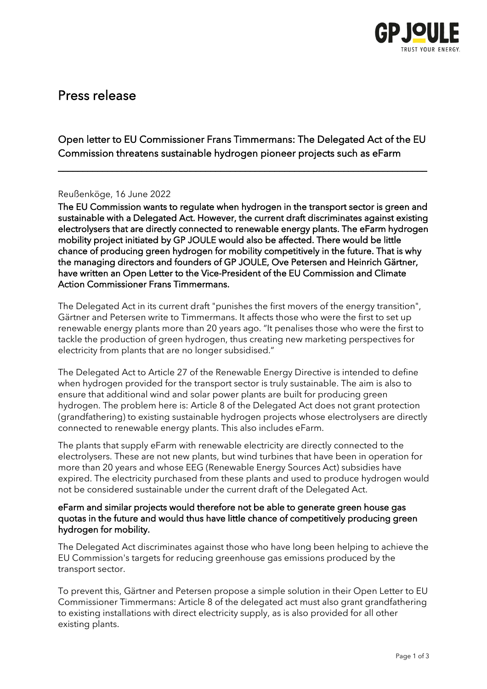

# Press release

Open letter to EU Commissioner Frans Timmermans: The Delegated Act of the EU Commission threatens sustainable hydrogen pioneer projects such as eFarm

\_\_\_\_\_\_\_\_\_\_\_\_\_\_\_\_\_\_\_\_\_\_\_\_\_\_\_\_\_\_\_\_\_\_\_\_\_\_\_\_\_\_\_\_\_\_\_\_\_\_\_\_\_\_\_\_\_\_\_\_\_\_\_\_\_\_\_\_\_\_\_\_\_\_\_

# Reußenköge, 16 June 2022

The EU Commission wants to regulate when hydrogen in the transport sector is green and sustainable with a Delegated Act. However, the current draft discriminates against existing electrolysers that are directly connected to renewable energy plants. The eFarm hydrogen mobility project initiated by GP JOULE would also be affected. There would be little chance of producing green hydrogen for mobility competitively in the future. That is why the managing directors and founders of GP JOULE, Ove Petersen and Heinrich Gärtner, have written an Open Letter to the Vice-President of the EU Commission and Climate Action Commissioner Frans Timmermans.

The Delegated Act in its current draft "punishes the first movers of the energy transition", Gärtner and Petersen write to Timmermans. It affects those who were the first to set up renewable energy plants more than 20 years ago. "It penalises those who were the first to tackle the production of green hydrogen, thus creating new marketing perspectives for electricity from plants that are no longer subsidised."

The Delegated Act to Article 27 of the Renewable Energy Directive is intended to define when hydrogen provided for the transport sector is truly sustainable. The aim is also to ensure that additional wind and solar power plants are built for producing green hydrogen. The problem here is: Article 8 of the Delegated Act does not grant protection (grandfathering) to existing sustainable hydrogen projects whose electrolysers are directly connected to renewable energy plants. This also includes eFarm.

The plants that supply eFarm with renewable electricity are directly connected to the electrolysers. These are not new plants, but wind turbines that have been in operation for more than 20 years and whose EEG (Renewable Energy Sources Act) subsidies have expired. The electricity purchased from these plants and used to produce hydrogen would not be considered sustainable under the current draft of the Delegated Act.

## eFarm and similar projects would therefore not be able to generate green house gas quotas in the future and would thus have little chance of competitively producing green hydrogen for mobility.

The Delegated Act discriminates against those who have long been helping to achieve the EU Commission's targets for reducing greenhouse gas emissions produced by the transport sector.

To prevent this, Gärtner and Petersen propose a simple solution in their Open Letter to EU Commissioner Timmermans: Article 8 of the delegated act must also grant grandfathering to existing installations with direct electricity supply, as is also provided for all other existing plants.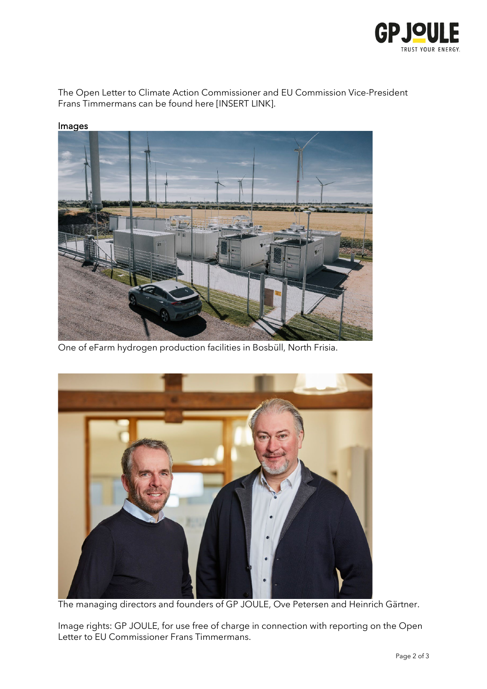

The Open Letter to Climate Action Commissioner and EU Commission Vice-President Frans Timmermans can be found here [INSERT LINK].



### Images

One of eFarm hydrogen production facilities in Bosbüll, North Frisia.



The managing directors and founders of GP JOULE, Ove Petersen and Heinrich Gärtner.

Image rights: GP JOULE, for use free of charge in connection with reporting on the Open Letter to EU Commissioner Frans Timmermans.